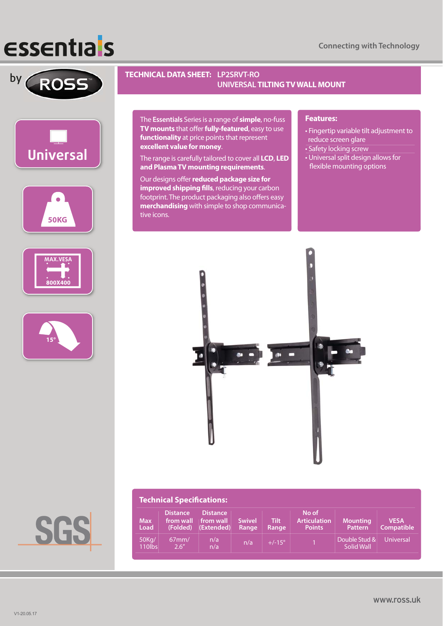## **ESSENTIA'S**











### **by ROSS TECHNICAL DATA SHEET:** LP2SRVT-RO  **UNIVERSAL TILTING TV WALL MOUNT**

The **Essentials** Series is a range of **simple**, no-fuss **TV mounts** that offer **fully-featured**, easy to use **functionality** at price points that represent **excellent value for money**.

The range is carefully tailored to cover all **LCD**, **LED and Plasma TV mounting requirements**.

Our designs offer **reduced package size for improved shipping fills**, reducing your carbon footprint. The product packaging also offers easy **merchandising** with simple to shop communicative icons.

#### **Features:**

- Fingertip variable tilt adjustment to reduce screen glare
- Safety locking screw
- Universal split design allows for flexible mounting options



| <b>Technical Specifications:</b> |                                          |                                            |                        |                      |                                               |                                   |                                  |  |
|----------------------------------|------------------------------------------|--------------------------------------------|------------------------|----------------------|-----------------------------------------------|-----------------------------------|----------------------------------|--|
| <b>Max</b><br>Load               | <b>Distance</b><br>from wall<br>(Folded) | <b>Distance</b><br>from wall<br>(Extended) | <b>Swivel</b><br>Range | <b>Tilt</b><br>Range | No of<br><b>Articulation</b><br><b>Points</b> | <b>Mounting</b><br><b>Pattern</b> | <b>VESA</b><br><b>Compatible</b> |  |
| 50Kg/<br>110lbs                  | $67$ mm/<br>2.6''                        | n/a<br>n/a                                 | n/a                    | $+/-15^{\circ}$      |                                               | Double Stud &<br>Solid Wall       | Universal                        |  |